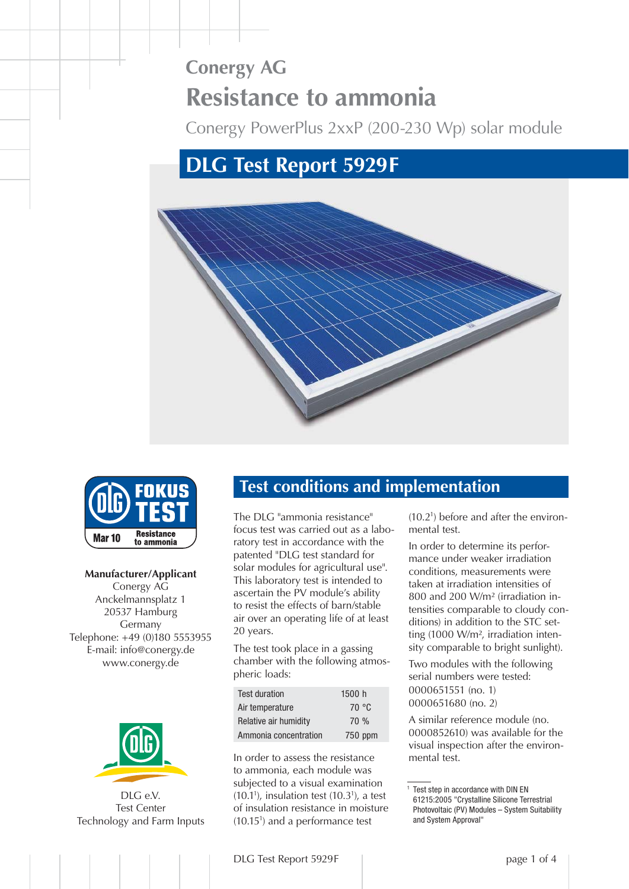# **Conergy AG Resistance to ammonia**

Conergy PowerPlus 2xxP (200-230 Wp) solar module

# **DLG Test Report 5929 F**





**Manufacturer/Applicant** Conergy AG Anckelmannsplatz 1 20537 Hamburg Germany Telephone: +49 (0)180 5553955 E-mail: info@conergy.de www.conergy.de



DLG e.V. Test Center [Technology and Farm Inputs](http://www.dlg.org)

# **Test conditions and implementation**

The DLG "ammonia resistance" focus test was carried out as a laboratory test in accordance with the patented "DLG test standard for solar modules for agricultural use". This laboratory test is intended to ascertain the PV module's ability to resist the effects of barn/stable air over an operating life of at least 20 years.

The test took place in a gassing chamber with the following atmospheric loads:

| <b>Test duration</b>  | 1500 h  |
|-----------------------|---------|
| Air temperature       | 70 °C   |
| Relative air humidity | 70%     |
| Ammonia concentration | 750 ppm |

In order to assess the resistance to ammonia, each module was subjected to a visual examination  $(10.1<sup>1</sup>)$ , insulation test  $(10.3<sup>1</sup>)$ , a test of insulation resistance in moisture (10.151 ) and a performance test

(10.21 ) before and after the environmental test.

In order to determine its performance under weaker irradiation conditions, measurements were taken at irradiation intensities of 800 and 200 W/m² (irradiation intensities comparable to cloudy conditions) in addition to the STC setting (1000 W/m², irradiation intensity comparable to bright sunlight).

Two modules with the following serial numbers were tested: 0000651551 (no. 1) 0000651680 (no. 2)

A similar reference module (no. 0000852610) was available for the visual inspection after the environmental test.

<sup>1</sup> Test step in accordance with DIN EN 61215:2005 "Crystalline Silicone Terrestrial Photovoltaic (PV) Modules – System Suitability and System Approval"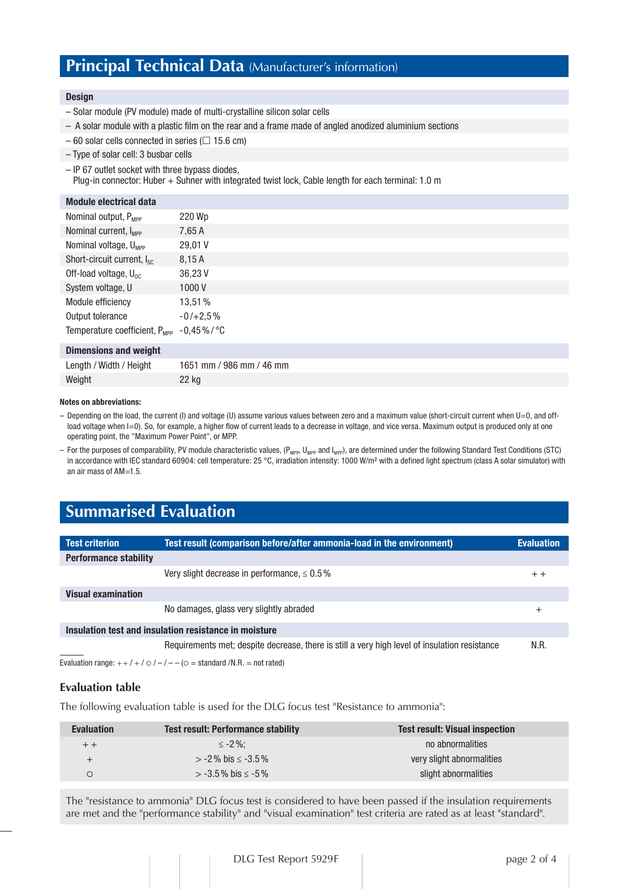# **Principal Technical Data** (Manufacturer's information)

#### **Design**

- Solar module (PV module) made of multi-crystalline silicon solar cells
- A solar module with a plastic film on the rear and a frame made of angled anodized aluminium sections
- $-60$  solar cells connected in series ( $\Box$  15.6 cm)
- Type of solar cell: 3 busbar cells
- IP 67 outlet socket with three bypass diodes,

Plug-in connector: Huber + Suhner with integrated twist lock, Cable length for each terminal: 1.0 m

#### **Module electrical data**

| Nominal output, P <sub>MPP</sub>                    | 220 Wp     |
|-----------------------------------------------------|------------|
| Nominal current, I <sub>MPP</sub>                   | 7,65 A     |
| Nominal voltage, U <sub>MPP</sub>                   | 29,01 V    |
| Short-circuit current, I <sub>sc</sub>              | 8.15A      |
| Off-load voltage, $U_{0c}$                          | 36,23 V    |
| System voltage, U                                   | 1000V      |
| Module efficiency                                   | 13,51%     |
| Output tolerance                                    | $-0/+2,5%$ |
| Temperature coefficient, $P_{\text{MPP}}$ -0,45%/°C |            |
|                                                     |            |

### **Dimensions and weight**

| Length / Width / Height | 1651 mm / 986 mm / 46 mm |
|-------------------------|--------------------------|
| Weight                  | 22 kg                    |

#### **Notes on abbreviations:**

- Depending on the load, the current (I) and voltage (U) assume various values between zero and a maximum value (short-circuit current when U=0, and offload voltage when I=0). So, for example, a higher flow of current leads to a decrease in voltage, and vice versa. Maximum output is produced only at one operating point, the "Maximum Power Point", or MPP.
- For the purposes of comparability, PV module characteristic values,  $(P_{MPP}$ , U<sub>MPP</sub> and I<sub>MPP</sub>), are determined under the following Standard Test Conditions (STC) in accordance with IEC standard 60904: cell temperature: 25 °C, irradiation intensity: 1000 W/m<sup>2</sup> with a defined light spectrum (class A solar simulator) with an air mass of AM=1.5.

# **Summarised Evaluation**

| <b>Test criterion</b>                                 | Test result (comparison before/after ammonia-load in the environment)                         | <b>Evaluation</b> |  |  |
|-------------------------------------------------------|-----------------------------------------------------------------------------------------------|-------------------|--|--|
| <b>Performance stability</b>                          |                                                                                               |                   |  |  |
|                                                       | Very slight decrease in performance, $\leq 0.5\%$                                             | $+ +$             |  |  |
| <b>Visual examination</b>                             |                                                                                               |                   |  |  |
|                                                       | No damages, glass very slightly abraded                                                       | $^+$              |  |  |
| Insulation test and insulation resistance in moisture |                                                                                               |                   |  |  |
|                                                       | Requirements met; despite decrease, there is still a very high level of insulation resistance | N.R.              |  |  |
|                                                       | Evaluation range: $++/+/ \circ$ $\ell$ - $\ell$ - $\circ$ = standard $/N.R.$ = not rated)     |                   |  |  |

# **Evaluation table**

The following evaluation table is used for the DLG focus test "Resistance to ammonia":

| <b>Evaluation</b> | <b>Test result: Performance stability</b> | <b>Test result: Visual inspection</b> |
|-------------------|-------------------------------------------|---------------------------------------|
| $+ +$             | $\leq$ -2%:                               | no abnormalities                      |
|                   | $>$ -2% bis $\le$ -3.5%                   | very slight abnormalities             |
|                   | $> -3.5\%$ bis $\le -5\%$                 | slight abnormalities                  |

The "resistance to ammonia" DLG focus test is considered to have been passed if the insulation requirements are met and the "performance stability" and "visual examination" test criteria are rated as at least "standard".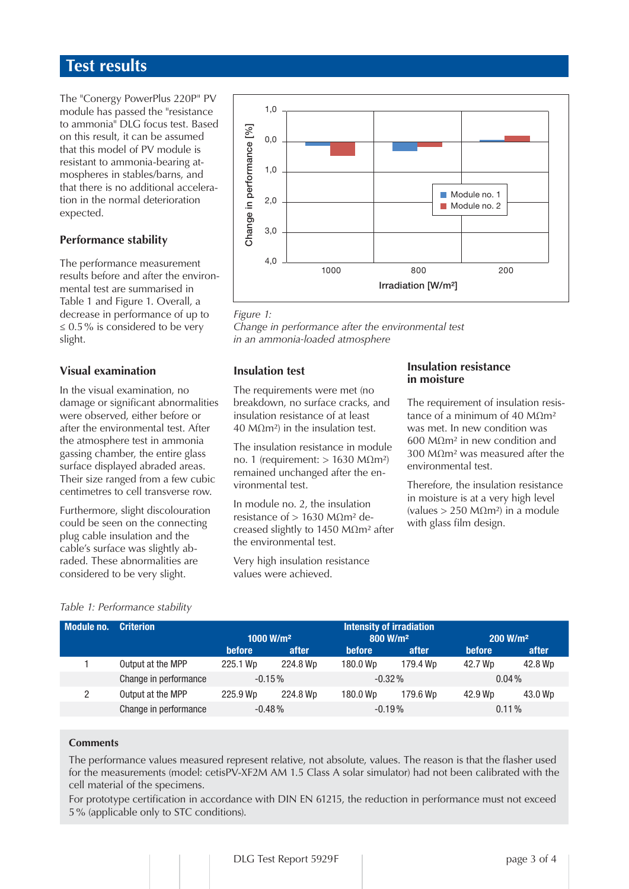# **Test results**

The "Conergy PowerPlus 220P" PV module has passed the "resistance" to ammonia" DLG focus test. Based on this result, it can be assumed that this model of PV module is resistant to ammonia-bearing atmospheres in stables/barns, and that there is no additional acceleration in the normal deterioration expected.

# **Performance stability**

The performance measurement results before and after the environmental test are summarised in Table 1 and Figure 1. Overall, a decrease in performance of up to  $\leq 0.5\%$  is considered to be very slight.

# **Visual examination**

In the visual examination, no damage or significant abnormalities were observed, either before or after the environmental test. After the atmosphere test in ammonia gassing chamber, the entire glass surface displayed abraded areas. Their size ranged from a few cubic centimetres to cell transverse row.

Furthermore, slight discolouration could be seen on the connecting plug cable insulation and the cable's surface was slightly abraded. These abnormalities are considered to be very slight.



#### *Figure 1:*

*Change in performance after the environmental test in an ammonia-loaded atmosphere*

### **Insulation test**

The requirements were met (no breakdown, no surface cracks, and insulation resistance of at least 40 MΩm²) in the insulation test.

The insulation resistance in module no. 1 (requirement: > 1630 MΩm²) remained unchanged after the environmental test.

In module no. 2, the insulation resistance of  $> 1630$  MΩm<sup>2</sup> decreased slightly to 1450 MΩm² after the environmental test.

Very high insulation resistance values were achieved.

### **Insulation resistance in moisture**

The requirement of insulation resistance of a minimum of 40 MΩm<sup>2</sup> was met. In new condition was 600 MΩm² in new condition and 300 MΩm² was measured after the environmental test.

Therefore, the insulation resistance in moisture is at a very high level (values > 250 MΩm²) in a module with glass film design.

# *Table 1: Performance stability*

| Module no. | <b>Criterion</b>      | <b>Intensity of irradiation</b> |          |                      |          |                      |         |
|------------|-----------------------|---------------------------------|----------|----------------------|----------|----------------------|---------|
|            |                       | 1000 W/m <sup>2</sup>           |          | 800 W/m <sup>2</sup> |          | 200 W/m <sup>2</sup> |         |
|            |                       | <b>before</b>                   | after    | <b>before</b>        | after    | <b>before</b>        | after   |
|            | Output at the MPP     | 225.1 Wp                        | 224.8 Wp | 180.0 Wp             | 179.4 Wp | 42.7 Wp              | 42.8 Wp |
|            | Change in performance | $-0.15\%$                       |          | $-0.32\%$            |          | $0.04\%$             |         |
| 2          | Output at the MPP     | 225.9 Wp                        | 224.8 Wp | 180.0 Wp             | 179.6 Wp | 42.9 Wp              | 43.0 Wp |
|            | Change in performance | $-0.48%$                        |          | $-0.19%$             |          | $0.11\%$             |         |

### **Comments**

The performance values measured represent relative, not absolute, values. The reason is that the flasher used for the measurements (model: cetisPV-XF2M AM 1.5 Class A solar simulator) had not been calibrated with the cell material of the specimens.

For prototype certification in accordance with DIN EN 61215, the reduction in performance must not exceed 5 % (applicable only to STC conditions).